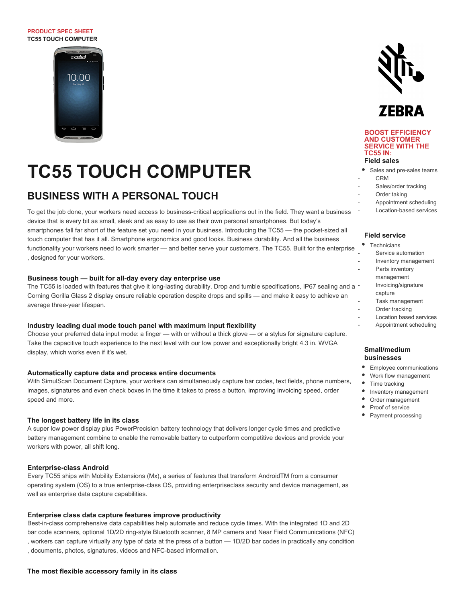#### **PRODUCT SPEC SHEET TC55 TOUCH COMPUTER**



# **TC55 TOUCH COMPUTER**

# **BUSINESS WITH A PERSONAL TOUCH**

To get the job done, your workers need access to business-critical applications out in the field. They want a business device that is every bit as small, sleek and as easy to use as their own personal smartphones. But today's smartphones fall far short of the feature set you need in your business. Introducing the TC55 — the pocket-sized all touch computer that has it all. Smartphone ergonomics and good looks. Business durability. And all the business functionality your workers need to work smarter — and better serve your customers. The TC55. Built for the enterprise , designed for your workers.

#### **Business tough — built for all-day every day enterprise use**

The TC55 is loaded with features that give it long-lasting durability. Drop and tumble specifications, IP67 sealing and a -Corning Gorilla Glass 2 display ensure reliable operation despite drops and spills — and make it easy to achieve an average three-year lifespan. - -

#### **Industry leading dual mode touch panel with maximum input flexibility**

Choose your preferred data input mode: a finger — with or without a thick glove — or a stylus for signature capture. Take the capacitive touch experience to the next level with our low power and exceptionally bright 4.3 in. WVGA display, which works even if it's wet.

#### **Automatically capture data and process entire documents**

With SimulScan Document Capture, your workers can simultaneously capture bar codes, text fields, phone numbers, images, signatures and even check boxes in the time it takes to press a button, improving invoicing speed, order speed and more.

#### **The longest battery life in its class**

A super low power display plus PowerPrecision battery technology that delivers longer cycle times and predictive battery management combine to enable the removable battery to outperform competitive devices and provide your workers with power, all shift long.

#### **Enterprise-class Android**

Every TC55 ships with Mobility Extensions (Mx), a series of features that transform AndroidTM from a consumer operating system (OS) to a true enterprise-class OS, providing enterpriseclass security and device management, as well as enterprise data capture capabilities.

#### **Enterprise class data capture features improve productivity**

Best-in-class comprehensive data capabilities help automate and reduce cycle times. With the integrated 1D and 2D bar code scanners, optional 1D/2D ring-style Bluetooth scanner, 8 MP camera and Near Field Communications (NFC) , workers can capture virtually any type of data at the press of a button — 1D/2D bar codes in practically any condition , documents, photos, signatures, videos and NFC-based information.





#### **BOOST EFFICIENCY AND CUSTOMER SERVICE WITH THE TC55 IN: Field sales**

# Sales and pre-sales teams

- CRM
- Sales/order tracking
- Order taking
- -

- -

-

-

Appointment scheduling Location-based services

#### **Field service**

|   | Technicians             |
|---|-------------------------|
|   | Service automation      |
|   | Inventory management    |
| L | Parts inventory         |
|   | management              |
|   | Invoicing/signature     |
|   | capture                 |
|   | Task management         |
|   | Order tracking          |
|   | Location based services |

Appointment scheduling

## **Small/medium businesses**

- Employee communications
- Work flow management
- Time tracking
- Inventory management
- Order management
- Proof of service
- Payment processing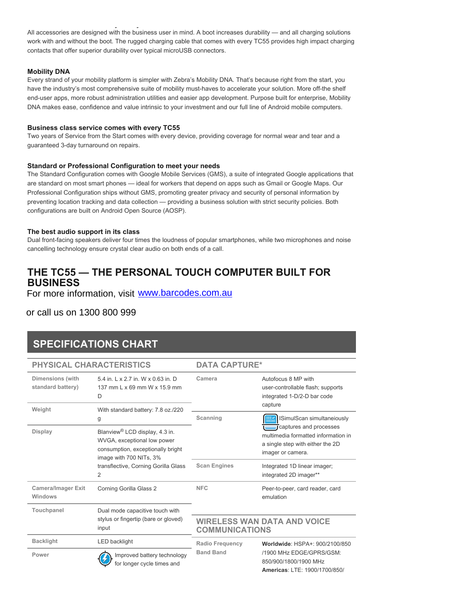**The most flexible accessory family in its class** All accessories are designed with the business user in mind. A boot increases durability — and all charging solutions work with and without the boot. The rugged charging cable that comes with every TC55 provides high impact charging contacts that offer superior durability over typical microUSB connectors.

## **Mobility DNA**

Every strand of your mobility platform is simpler with Zebra's Mobility DNA. That's because right from the start, you have the industry's most comprehensive suite of mobility must-haves to accelerate your solution. More off-the shelf end-user apps, more robust administration utilities and easier app development. Purpose built for enterprise, Mobility DNA makes ease, confidence and value intrinsic to your investment and our full line of Android mobile computers.

## **Business class service comes with every TC55**

Two years of Service from the Start comes with every device, providing coverage for normal wear and tear and a guaranteed 3-day turnaround on repairs.

## **Standard or Professional Configuration to meet your needs**

The Standard Configuration comes with Google Mobile Services (GMS), a suite of integrated Google applications that are standard on most smart phones — ideal for workers that depend on apps such as Gmail or Google Maps. Our Professional Configuration ships without GMS, promoting greater privacy and security of personal information by preventing location tracking and data collection — providing a business solution with strict security policies. Both configurations are built on Android Open Source (AOSP).

# **The best audio support in its class**

Dual front-facing speakers deliver four times the loudness of popular smartphones, while two microphones and noise cancelling technology ensure crystal clear audio on both ends of a call.

# **THE TC55 — THE PERSONAL TOUCH COMPUTER BUILT FOR BUSINESS**

For more information, view **www.zebra.com/tchss** For more information, visit [www.barcodes.com.au](http://www.barcodes.com.au/motorola-tc55-mobile-computer/)

# or call us on 1300 800 999

# **SPECIFICATIONS CHART**

|                                              | <b>PHYSICAL CHARACTERISTICS</b>                                                                                                           | <b>DATA CAPTURE*</b>                                        |                                                                                                                                 |
|----------------------------------------------|-------------------------------------------------------------------------------------------------------------------------------------------|-------------------------------------------------------------|---------------------------------------------------------------------------------------------------------------------------------|
| <b>Dimensions</b> (with<br>standard battery) | 5.4 in, L x 2.7 in, W x 0.63 in, D<br>137 mm L x 69 mm W x 15.9 mm<br>D                                                                   | Camera                                                      | Autofocus 8 MP with<br>user-controllable flash; supports<br>integrated 1-D/2-D bar code<br>capture                              |
| Weight                                       | With standard battery: 7.8 oz./220<br>g                                                                                                   | Scanning                                                    | ISimulScan simultaneiously                                                                                                      |
| Display                                      | Blanview <sup>®</sup> LCD display, 4.3 in.<br>WVGA, exceptional low power<br>consumption, exceptionally bright<br>image with 700 NITs, 3% |                                                             | <b>J</b> captures and processes<br>multimedia formatted information in<br>a single step with either the 2D<br>imager or camera. |
|                                              | transflective, Corning Gorilla Glass<br>2                                                                                                 | <b>Scan Engines</b>                                         | Integrated 1D linear imager;<br>integrated 2D imager**                                                                          |
| <b>Camera/Imager Exit</b><br>Windows         | Corning Gorilla Glass 2                                                                                                                   | <b>NFC</b>                                                  | Peer-to-peer, card reader, card<br>emulation                                                                                    |
| Touchpanel                                   | Dual mode capacitive touch with<br>stylus or fingertip (bare or gloved)<br>input                                                          |                                                             |                                                                                                                                 |
|                                              |                                                                                                                                           | <b>WIRELESS WAN DATA AND VOICE</b><br><b>COMMUNICATIONS</b> |                                                                                                                                 |
| <b>Backlight</b>                             | <b>LED</b> backlight                                                                                                                      | <b>Radio Frequency</b><br><b>Band Band</b>                  | Worldwide: HSPA+: 900/2100/850                                                                                                  |
| Power                                        | Improved battery technology<br>for longer cycle times and                                                                                 |                                                             | /1900 MHz EDGE/GPRS/GSM:<br>850/900/1800/1900 MHz<br>Americas: LTE: 1900/1700/850/                                              |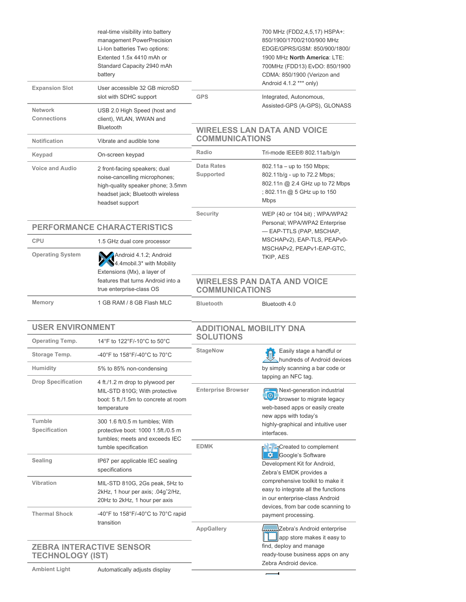|                                                                                    | real-time visibility into battery<br>management PowerPrecision<br>Li-Ion batteries Two options:<br>Extented 1.5x 4410 mAh or<br>Standard Capacity 2940 mAh<br>battery |                                                                                                                                                                             | 700 MHz (FDD2,4,5,17) HSPA+:<br>850/1900/1700/2100/900 MHz<br>EDGE/GPRS/GSM: 850/900/1800/<br>1900 MHz North America: LTE:<br>700MHz (FDD13) EvDO: 850/1900<br>CDMA: 850/1900 (Verizon and<br>Android 4.1.2 *** only) |  |
|------------------------------------------------------------------------------------|-----------------------------------------------------------------------------------------------------------------------------------------------------------------------|-----------------------------------------------------------------------------------------------------------------------------------------------------------------------------|-----------------------------------------------------------------------------------------------------------------------------------------------------------------------------------------------------------------------|--|
| <b>Expansion Slot</b>                                                              | User accessible 32 GB microSD<br>slot with SDHC support                                                                                                               | <b>GPS</b>                                                                                                                                                                  | Integrated, Autonomous,                                                                                                                                                                                               |  |
| <b>Network</b><br>Connections                                                      | USB 2.0 High Speed (host and<br>client), WLAN, WWAN and<br>Bluetooth                                                                                                  |                                                                                                                                                                             | Assisted-GPS (A-GPS), GLONASS<br><b>WIRELESS LAN DATA AND VOICE</b>                                                                                                                                                   |  |
| <b>Notification</b>                                                                | Vibrate and audible tone                                                                                                                                              | <b>COMMUNICATIONS</b>                                                                                                                                                       |                                                                                                                                                                                                                       |  |
| Keypad                                                                             | On-screen keypad                                                                                                                                                      | Radio                                                                                                                                                                       | Tri-mode IEEE® 802.11a/b/g/n                                                                                                                                                                                          |  |
| <b>Voice and Audio</b>                                                             | 2 front-facing speakers; dual<br>noise-cancelling microphones;<br>high-quality speaker phone; 3.5mm<br>headset jack; Bluetooth wireless<br>headset support            | Data Rates<br>Supported                                                                                                                                                     | 802.11a - up to 150 Mbps;<br>802.11b/g - up to 72.2 Mbps;<br>802.11n @ 2.4 GHz up to 72 Mbps<br>; 802.11n @ 5 GHz up to 150<br><b>Mbps</b>                                                                            |  |
|                                                                                    |                                                                                                                                                                       | Security                                                                                                                                                                    | WEP (40 or 104 bit) ; WPA/WPA2                                                                                                                                                                                        |  |
|                                                                                    | PERFORMANCE CHARACTERISTICS                                                                                                                                           |                                                                                                                                                                             | Personal; WPA/WPA2 Enterprise<br>- EAP-TTLS (PAP, MSCHAP,                                                                                                                                                             |  |
| <b>CPU</b>                                                                         | 1.5 GHz dual core processor                                                                                                                                           |                                                                                                                                                                             | MSCHAPv2), EAP-TLS, PEAPv0-<br>MSCHAPv2, PEAPv1-EAP-GTC,                                                                                                                                                              |  |
| <b>Operating System</b>                                                            | Android 4.1.2; Android<br>4.4mobil.3* with Mobility<br>Extensions (Mx), a layer of                                                                                    |                                                                                                                                                                             | TKIP, AES                                                                                                                                                                                                             |  |
|                                                                                    | features that turns Android into a<br>true enterprise-class OS                                                                                                        | <b>COMMUNICATIONS</b>                                                                                                                                                       | <b>WIRELESS PAN DATA AND VOICE</b>                                                                                                                                                                                    |  |
| Memory                                                                             | 1 GB RAM / 8 GB Flash MLC                                                                                                                                             | <b>Bluetooth</b>                                                                                                                                                            | Bluetooth 4.0                                                                                                                                                                                                         |  |
| <b>USER ENVIRONMENT</b>                                                            |                                                                                                                                                                       | <b>ADDITIONAL MOBILITY DNA</b><br><b>SOLUTIONS</b>                                                                                                                          |                                                                                                                                                                                                                       |  |
| <b>Operating Temp.</b>                                                             | 14°F to 122°F/-10°C to 50°C                                                                                                                                           |                                                                                                                                                                             |                                                                                                                                                                                                                       |  |
| Storage Temp.                                                                      | -40°F to 158°F/-40°C to 70°C                                                                                                                                          | <b>StageNow</b>                                                                                                                                                             | Easily stage a handful or<br>hundreds of Android devices                                                                                                                                                              |  |
| Humidity                                                                           | 5% to 85% non-condensing                                                                                                                                              |                                                                                                                                                                             | by simply scanning a bar code or                                                                                                                                                                                      |  |
| <b>Drop Specification</b>                                                          | 4 ft./1.2 m drop to plywood per<br>MIL-STD 810G; With protective<br>boot: 5 ft./1.5m to concrete at room<br>temperature                                               | <b>Enterprise Browser</b>                                                                                                                                                   | tapping an NFC tag.<br>Next-generation industrial<br>browser to migrate legacy<br>web-based apps or easily create                                                                                                     |  |
| Tumble<br>Specification                                                            | 300 1.6 ft/0.5 m tumbles; With<br>protective boot: 1000 1.5ft./0.5 m<br>tumbles; meets and exceeds IEC                                                                |                                                                                                                                                                             | new apps with today's<br>highly-graphical and intuitive user<br>interfaces.                                                                                                                                           |  |
| <b>Sealing</b>                                                                     | tumble specification<br>IP67 per applicable IEC sealing<br>specifications                                                                                             | <b>EDMK</b>                                                                                                                                                                 | P → EnCreated to complement<br>Google's Software<br>-93<br>Development Kit for Android,                                                                                                                               |  |
| Vibration                                                                          | MIL-STD 810G, 2Gs peak, 5Hz to<br>2kHz, 1 hour per axis; .04g <sup>2/Hz</sup> ,<br>20Hz to 2kHz, 1 hour per axis                                                      | Zebra's EMDK provides a<br>comprehensive toolkit to make it<br>easy to integrate all the functions<br>in our enterprise-class Android<br>devices, from bar code scanning to |                                                                                                                                                                                                                       |  |
| <b>Thermal Shock</b><br>-40°F to $158^{\circ}$ F/-40°C to 70°C rapid<br>transition |                                                                                                                                                                       | <b>AppGallery</b>                                                                                                                                                           | payment processing.<br>Lum Zebra's Android enterprise                                                                                                                                                                 |  |
| <b>ZEBRA INTERACTIVE SENSOR</b><br><b>TECHNOLOGY (IST)</b>                         |                                                                                                                                                                       |                                                                                                                                                                             | app store makes it easy to<br>find, deploy and manage<br>ready-touse business apps on any                                                                                                                             |  |
| <b>Ambient Light</b>                                                               | Automatically adjusts display                                                                                                                                         |                                                                                                                                                                             | Zebra Android device.                                                                                                                                                                                                 |  |